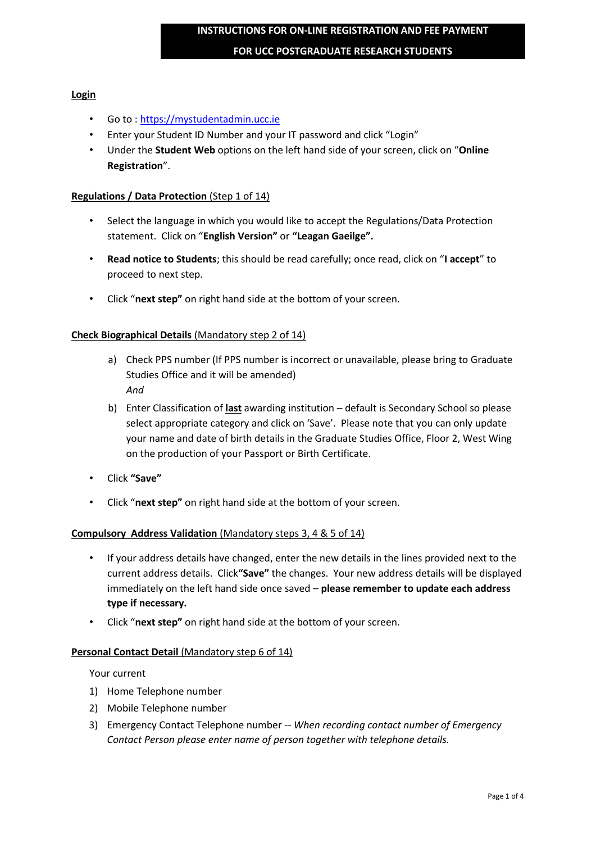#### **FOR UCC POSTGRADUATE RESEARCH STUDENTS**

## **Login**

- Go to : [https://mystudentadmin.ucc.ie](https://mystudentadmin.ucc.ie/)
- Enter your Student ID Number and your IT password and click "Login"
- Under the **Student Web** options on the left hand side of your screen, click on "**Online Registration**".

### **Regulations / Data Protection** (Step 1 of 14)

- Select the language in which you would like to accept the Regulations/Data Protection statement. Click on "**English Version"** or **"Leagan Gaeilge".**
- **Read notice to Students**; this should be read carefully; once read, click on "**I accept**" to proceed to next step.
- Click "**next step"** on right hand side at the bottom of your screen.

#### **Check Biographical Details** (Mandatory step 2 of 14)

- a) Check PPS number (If PPS number is incorrect or unavailable, please bring to Graduate Studies Office and it will be amended) *And*
- b) Enter Classification of **last** awarding institution default is Secondary School so please select appropriate category and click on 'Save'. Please note that you can only update your name and date of birth details in the Graduate Studies Office, Floor 2, West Wing on the production of your Passport or Birth Certificate.
- Click **"Save"**
- Click "**next step"** on right hand side at the bottom of your screen.

## **Compulsory Address Validation** (Mandatory steps 3, 4 & 5 of 14)

- If your address details have changed, enter the new details in the lines provided next to the current address details. Click**"Save"** the changes. Your new address details will be displayed immediately on the left hand side once saved – **please remember to update each address type if necessary.**
- Click "**next step"** on right hand side at the bottom of your screen.

#### **Personal Contact Detail** (Mandatory step 6 of 14)

#### Your current

- 1) Home Telephone number
- 2) Mobile Telephone number
- 3) Emergency Contact Telephone number -- *When recording contact number of Emergency Contact Person please enter name of person together with telephone details.*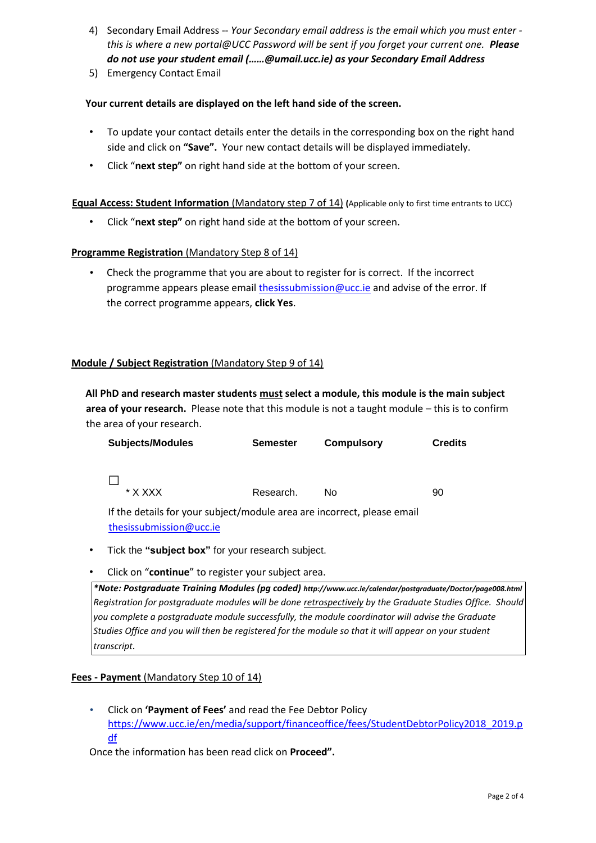- 4) Secondary Email Address -- *Your Secondary email address is the email which you must enter this is where a new portal@UCC Password will be sent if you forget your current one. Please do not use your student email (……@umail.ucc.ie) as your Secondary Email Address*
- 5) Emergency Contact Email

# **Your current details are displayed on the left hand side of the screen.**

- To update your contact details enter the details in the corresponding box on the right hand side and click on **"Save".** Your new contact details will be displayed immediately.
- Click "**next step"** on right hand side at the bottom of your screen.

# **Equal Access: Student Information** (Mandatory step 7 of 14) **(**Applicable only to first time entrants to UCC)

• Click "**next step"** on right hand side at the bottom of your screen.

# **Programme Registration** (Mandatory Step 8 of 14)

• Check the programme that you are about to register for is correct. If the incorrect programme appears please email thesissubmission@ucc.ie and advise of the error. If the correct programme appears, **click Yes**.

# **Module / Subject Registration** (Mandatory Step 9 of 14)

**All PhD and research master students must select a module, this module is the main subject area of your research.** Please note that this module is not a taught module – this is to confirm the area of your research.

| <b>Subjects/Modules</b>                                                 | <b>Semester</b> | <b>Compulsory</b> | <b>Credits</b> |
|-------------------------------------------------------------------------|-----------------|-------------------|----------------|
|                                                                         |                 |                   |                |
|                                                                         |                 |                   |                |
| * X XXX                                                                 | Research.       | Nο                | 90             |
| If the details for your subject/module area are incorrect, please email |                 |                   |                |
| thesissubmission@ucc.ie                                                 |                 |                   |                |

- Tick the **"subject box"** for your research subject.
- Click on "**continue**" to register your subject area.

*\*Note: Postgraduate Training Modules (pg coded) http://www.ucc.ie/calendar/postgraduate/Doctor/page008.html Registration for postgraduate modules will be done retrospectively by the Graduate Studies Office. Should you complete a postgraduate module successfully, the module coordinator will advise the Graduate Studies Office and you will then be registered for the module so that it will appear on your student transcript.* 

## **Fees - Payment** (Mandatory Step 10 of 14)

• Click on **'Payment of Fees'** and read the Fee Debtor Policy [https://www.ucc.ie/en/media/support/financeoffice/fees/StudentDebtorPolicy2018\\_2019.p](https://www.ucc.ie/en/media/support/financeoffice/fees/StudentDebtorPolicy2018_2019.pdf)  [df](https://www.ucc.ie/en/media/support/financeoffice/fees/StudentDebtorPolicy2018_2019.pdf)

Once the information has been read click on **Proceed".**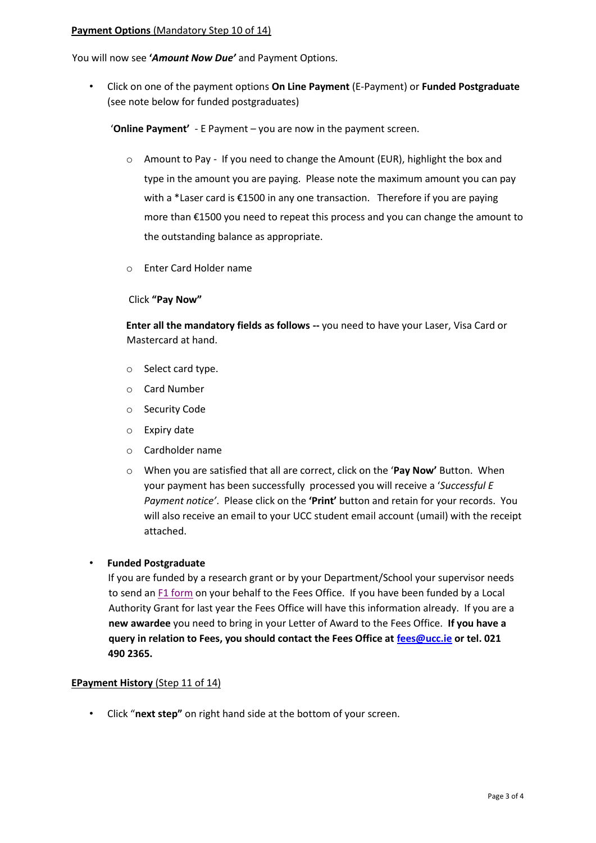#### **Payment Options** (Mandatory Step 10 of 14)

You will now see **'***Amount Now Due'* and Payment Options.

• Click on one of the payment options **On Line Payment** (E-Payment) or **Funded Postgraduate**  (see note below for funded postgraduates)

'**Online Payment'** - E Payment – you are now in the payment screen.

- $\circ$  Amount to Pay If you need to change the Amount (EUR), highlight the box and type in the amount you are paying. Please note the maximum amount you can pay with a \*Laser card is €1500 in any one transaction. Therefore if you are paying more than €1500 you need to repeat this process and you can change the amount to the outstanding balance as appropriate.
- o Enter Card Holder name

#### Click **"Pay Now"**

**Enter all the mandatory fields as follows --** you need to have your Laser, Visa Card or Mastercard at hand.

- o Select card type.
- o Card Number
- o Security Code
- o Expiry date
- o Cardholder name
- o When you are satisfied that all are correct, click on the '**Pay Now'** Button. When your payment has been successfully processed you will receive a '*Successful E Payment notice'*. Please click on the **'Print'** button and retain for your records. You will also receive an email to your UCC student email account (umail) with the receipt attached.

## • **Funded Postgraduate**

If you are funded by a research grant or by your Department/School your supervisor needs to send an [F1 form](http://www.ucc.ie/en/financeoffice/fees/PostgraduateSupportResearchSupportFeesFormF11011/) on your behalf to the Fees Office. If you have been funded by a Local Authority Grant for last year the Fees Office will have this information already. If you are a **new awardee** you need to bring in your Letter of Award to the Fees Office. **If you have a query in relation to Fees, you should contact the Fees Office at fees@ucc.ie or tel. 021 490 2365.** 

## **EPayment History** (Step 11 of 14)

• Click "**next step"** on right hand side at the bottom of your screen.